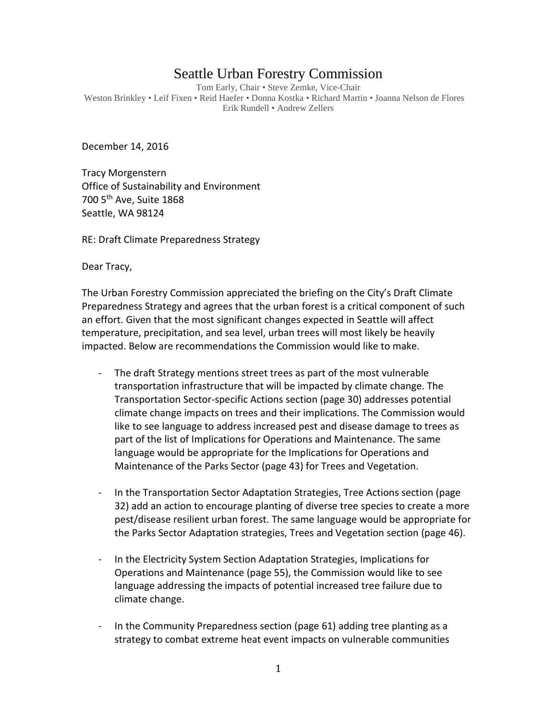## Seattle Urban Forestry Commission

Tom Early, Chair • Steve Zemke, Vice-Chair Weston Brinkley • Leif Fixen • Reid Haefer • Donna Kostka • Richard Martin • Joanna Nelson de Flores Erik Rundell • Andrew Zellers

December 14, 2016

Tracy Morgenstern Office of Sustainability and Environment 700 5th Ave, Suite 1868 Seattle, WA 98124

RE: Draft Climate Preparedness Strategy

Dear Tracy,

The Urban Forestry Commission appreciated the briefing on the City's Draft Climate Preparedness Strategy and agrees that the urban forest is a critical component of such an effort. Given that the most significant changes expected in Seattle will affect temperature, precipitation, and sea level, urban trees will most likely be heavily impacted. Below are recommendations the Commission would like to make.

- The draft Strategy mentions street trees as part of the most vulnerable transportation infrastructure that will be impacted by climate change. The Transportation Sector-specific Actions section (page 30) addresses potential climate change impacts on trees and their implications. The Commission would like to see language to address increased pest and disease damage to trees as part of the list of Implications for Operations and Maintenance. The same language would be appropriate for the Implications for Operations and Maintenance of the Parks Sector (page 43) for Trees and Vegetation.
- In the Transportation Sector Adaptation Strategies, Tree Actions section (page 32) add an action to encourage planting of diverse tree species to create a more pest/disease resilient urban forest. The same language would be appropriate for the Parks Sector Adaptation strategies, Trees and Vegetation section (page 46).
- In the Electricity System Section Adaptation Strategies, Implications for Operations and Maintenance (page 55), the Commission would like to see language addressing the impacts of potential increased tree failure due to climate change.
- In the Community Preparedness section (page 61) adding tree planting as a strategy to combat extreme heat event impacts on vulnerable communities